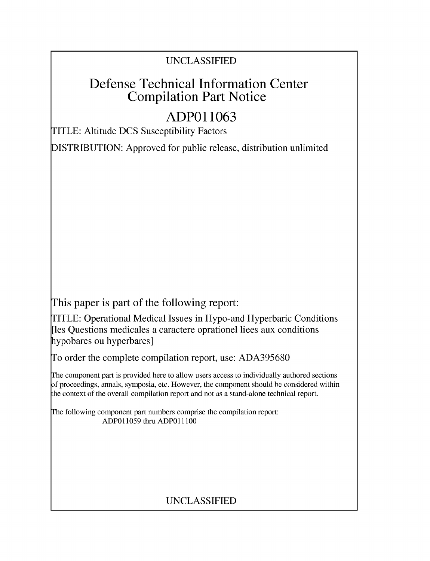## UNCLASSIFIED

# Defense Technical Information Center Compilation Part Notice

# **ADPO 11063**

TITLE: Altitude DCS Susceptibility Factors

DISTRIBUTION: Approved for public release, distribution unlimited

This paper is part of the following report:

TITLE: Operational Medical Issues in Hypo-and Hyperbaric Conditions [les Questions medicales a caractere oprationel liees aux conditions hypobares ou hyperbares]

To order the complete compilation report, use: ADA395680

The component part is provided here to allow users access to individually authored sections f proceedings, annals, symposia, etc. However, the component should be considered within [he context of the overall compilation report and not as a stand-alone technical report.

The following component part numbers comprise the compilation report: ADPO11059 thru ADP011100

## UNCLASSIFIED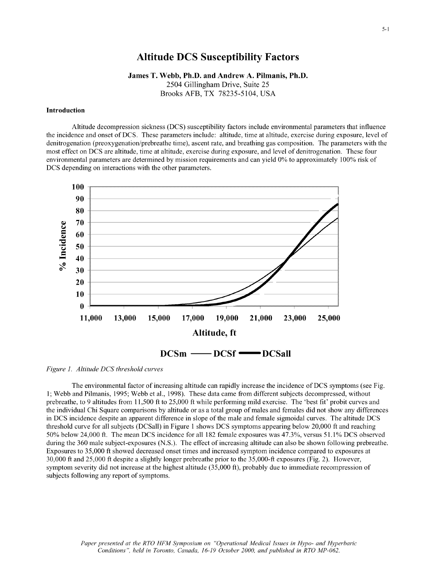## Altitude **DCS** Susceptibility Factors

James T. Webb, Ph.D. and Andrew **A.** Pilmanis, Ph.D.

2504 Gillingham Drive, Suite 25 Brooks AFB, TX 78235-5104, USA

#### Introduction

Altitude decompression sickness (DCS) susceptibility factors include environmental parameters that influence the incidence and onset of DCS. These parameters include: altitude, time at altitude, exercise during exposure, level of denitrogenation (preoxygenation/prebreathe time), ascent rate, and breathing gas composition. The parameters with the most effect on DCS are altitude, time at altitude, exercise during exposure, and level of denitrogenation. These four environmental parameters are determined by mission requirements and can yield **0%** to approximately 100% risk of DCS depending on interactions with the other parameters.



*Figure 1. Altitude DCS threshold curves*

The environmental factor of increasing altitude can rapidly increase the incidence of DCS symptoms (see Fig. 1; Webb and Pilmanis, 1995; Webb et al., 1998). These data came from different subjects decompressed, without prebreathe, to 9 altitudes from 11,500 ft to 25,000 ft while performing mild exercise. The 'best fit' probit curves and the individual Chi Square comparisons by altitude or as a total group of males and females did not show any differences in DCS incidence despite an apparent difference in slope of the male and female sigmoidal curves. The altitude DCS threshold curve for all subjects (DCSall) in Figure 1 shows DCS symptoms appearing below 20,000 ft and reaching 50% below 24,000 ft. The mean DCS incidence for all 182 female exposures was 47.3%, versus 51.1% DCS observed during the 360 male subject-exposures (N.S.). The effect of increasing altitude can also be shown following prebreathe. Exposures to 35,000 ft showed decreased onset times and increased symptom incidence compared to exposures at 30,000 ft and 25,000 ft despite a slightly longer prebreathe prior to the 35,000-ft exposures (Fig. 2). However, symptom severity did not increase at the highest altitude (35,000 ft), probably due to immediate recompression of subjects following any report of symptoms.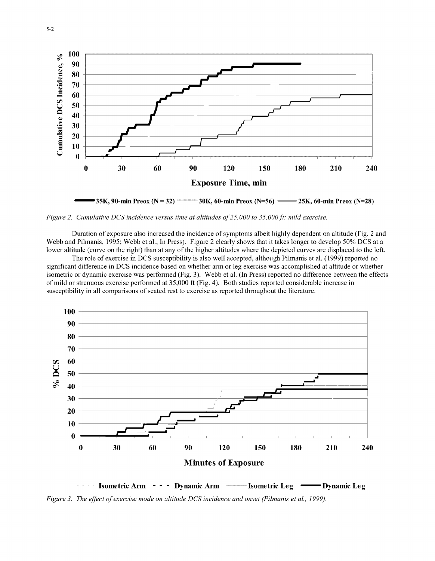

*Figure 2. Cumulative DCS incidence versus time at altitudes of25,000 to 35, 000 ft; mild* exercise.

Duration of exposure also increased the incidence of symptoms albeit highly dependent on altitude (Fig. 2 and Webb and Pilmanis, 1995; Webb et al., In Press). Figure 2 clearly shows that it takes longer to develop **50%** DCS at a lower altitude (curve on the right) than at any of the higher altitudes where the depicted curves are displaced to the left.

The role of exercise in DCS susceptibility is also well accepted, although Pilmanis et al. (1999) reported no significant difference in DCS incidence based on whether arm or leg exercise was accomplished at altitude or whether isometric or dynamic exercise was performed (Fig. 3). Webb et al. (In Press) reported no difference between the effects of mild or strenuous exercise performed at 35,000 ft (Fig. 4). Both studies reported considerable increase in susceptibility in all comparisons of seated rest to exercise as reported throughout the literature.



Isometric Arm **- - -** Dynamic Arm **Isometric Leg - Dynamic Leg** *Figure 3. The effect of exercise mode on altitude DCS incidence and onset (Pilmanis et al., 1999).*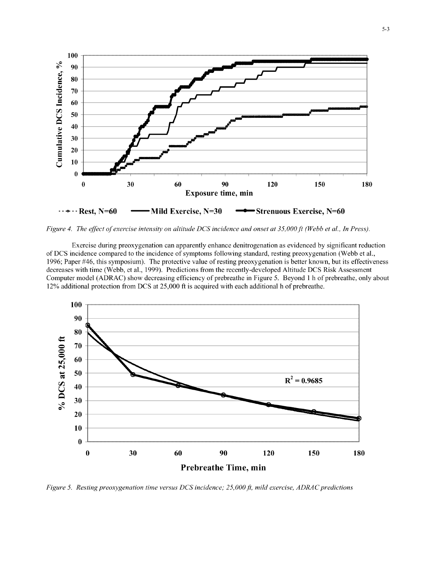

*Figure 4. The effect of exercise intensity on altitude DCS incidence and onset at 35,000ft (Webb et al., In Press).*

Exercise during preoxygenation can apparently enhance denitrogenation as evidenced by significant reduction of DCS incidence compared to the incidence of symptoms following standard, resting preoxygenation (Webb et al., 1996; Paper #46, this symposium). The protective value of resting preoxygenation is better known, but its effectiveness decreases with time (Webb, et al., 1999). Predictions from the recently-developed Altitude DCS Risk Assessment Computer model (ADRAC) show decreasing efficiency of prebreathe in Figure 5. Beyond 1 h of prebreathe, only about 12% additional protection from DCS at 25,000 ft is acquired with each additional h of prebreathe.



*Figure 5. Resting preoxygenation time versus DCS incidence; 25,000ft, mild exercise, ADRAC predictions*